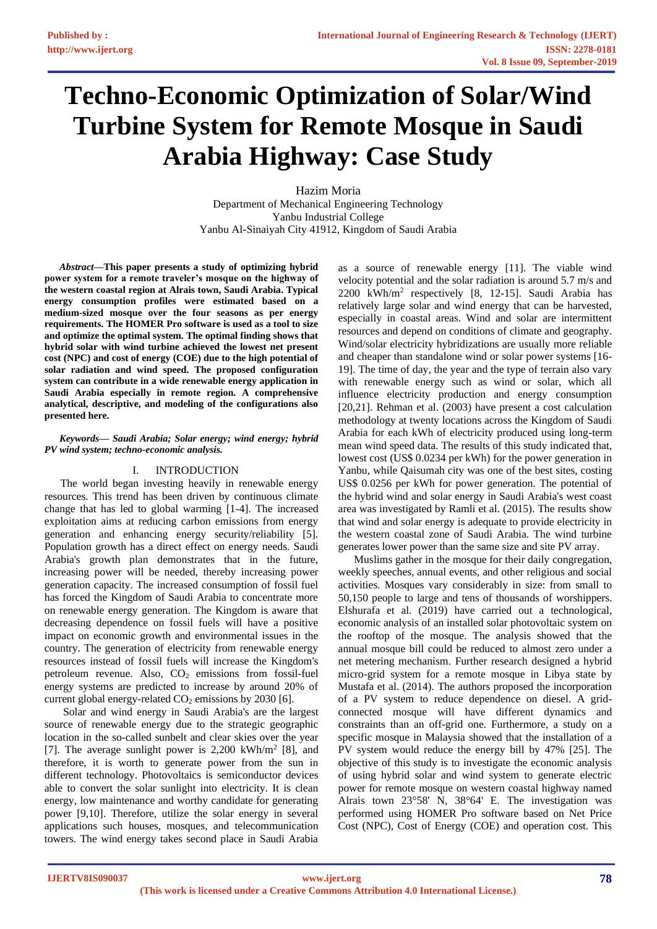# **Techno-Economic Optimization of Solar/Wind Turbine System for Remote Mosque in Saudi Arabia Highway: Case Study**

Hazim Moria Department of Mechanical Engineering Technology Yanbu Industrial College Yanbu Al-Sinaiyah City 41912, Kingdom of Saudi Arabia

*Abstract***—This paper presents a study of optimizing hybrid power system for a remote traveler's mosque on the highway of the western coastal region at Alrais town, Saudi Arabia. Typical energy consumption profiles were estimated based on a medium-sized mosque over the four seasons as per energy requirements. The HOMER Pro software is used as a tool to size and optimize the optimal system. The optimal finding shows that hybrid solar with wind turbine achieved the lowest net present cost (NPC) and cost of energy (COE) due to the high potential of solar radiation and wind speed. The proposed configuration system can contribute in a wide renewable energy application in Saudi Arabia especially in remote region. A comprehensive analytical, descriptive, and modeling of the configurations also presented here.**

#### *Keywords— Saudi Arabia; Solar energy; wind energy; hybrid PV wind system; techno-economic analysis.*

#### I. INTRODUCTION

The world began investing heavily in renewable energy resources. This trend has been driven by continuous climate change that has led to global warming [1-4]. The increased exploitation aims at reducing carbon emissions from energy generation and enhancing energy security/reliability [5]. Population growth has a direct effect on energy needs. Saudi Arabia's growth plan demonstrates that in the future, increasing power will be needed, thereby increasing power generation capacity. The increased consumption of fossil fuel has forced the Kingdom of Saudi Arabia to concentrate more on renewable energy generation. The Kingdom is aware that decreasing dependence on fossil fuels will have a positive impact on economic growth and environmental issues in the country. The generation of electricity from renewable energy resources instead of fossil fuels will increase the Kingdom's petroleum revenue. Also,  $CO<sub>2</sub>$  emissions from fossil-fuel energy systems are predicted to increase by around 20% of current global energy-related  $CO<sub>2</sub>$  emissions by 2030 [6].

Solar and wind energy in Saudi Arabia's are the largest source of renewable energy due to the strategic geographic location in the so-called sunbelt and clear skies over the year [7]. The average sunlight power is 2,200 kWh/m<sup>2</sup> [8], and therefore, it is worth to generate power from the sun in different technology. Photovoltaics is semiconductor devices able to convert the solar sunlight into electricity. It is clean energy, low maintenance and worthy candidate for generating power [9,10]. Therefore, utilize the solar energy in several applications such houses, mosques, and telecommunication towers. The wind energy takes second place in Saudi Arabia

as a source of renewable energy [11]. The viable wind velocity potential and the solar radiation is around 5.7 m/s and 2200 kWh/m<sup>2</sup> respectively [8, 12-15]. Saudi Arabia has relatively large solar and wind energy that can be harvested, especially in coastal areas. Wind and solar are intermittent resources and depend on conditions of climate and geography. Wind/solar electricity hybridizations are usually more reliable and cheaper than standalone wind or solar power systems [16- 19]. The time of day, the year and the type of terrain also vary with renewable energy such as wind or solar, which all influence electricity production and energy consumption [20,21]. Rehman et al. (2003) have present a cost calculation methodology at twenty locations across the Kingdom of Saudi Arabia for each kWh of electricity produced using long-term mean wind speed data. The results of this study indicated that, lowest cost (US\$ 0.0234 per kWh) for the power generation in Yanbu, while Qaisumah city was one of the best sites, costing US\$ 0.0256 per kWh for power generation. The potential of the hybrid wind and solar energy in Saudi Arabia's west coast area was investigated by Ramli et al. (2015). The results show that wind and solar energy is adequate to provide electricity in the western coastal zone of Saudi Arabia. The wind turbine generates lower power than the same size and site PV array.

Muslims gather in the mosque for their daily congregation, weekly speeches, annual events, and other religious and social activities. Mosques vary considerably in size: from small to 50,150 people to large and tens of thousands of worshippers. Elshurafa et al. (2019) have carried out a technological, economic analysis of an installed solar photovoltaic system on the rooftop of the mosque. The analysis showed that the annual mosque bill could be reduced to almost zero under a net metering mechanism. Further research designed a hybrid micro-grid system for a remote mosque in Libya state by Mustafa et al. (2014). The authors proposed the incorporation of a PV system to reduce dependence on diesel. A gridconnected mosque will have different dynamics and constraints than an off-grid one. Furthermore, a study on a specific mosque in Malaysia showed that the installation of a PV system would reduce the energy bill by 47% [25]. The objective of this study is to investigate the economic analysis of using hybrid solar and wind system to generate electric power for remote mosque on western coastal highway named Alrais town 23°58' N, 38°64' E. The investigation was performed using HOMER Pro software based on Net Price Cost (NPC), Cost of Energy (COE) and operation cost. This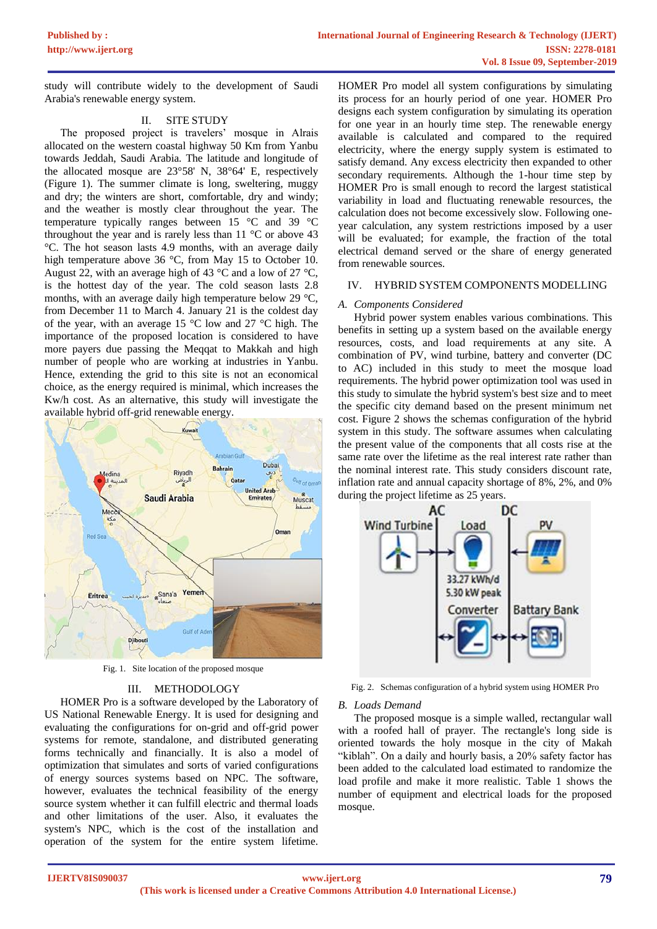study will contribute widely to the development of Saudi Arabia's renewable energy system.

#### II. SITE STUDY

The proposed project is travelers' mosque in Alrais allocated on the western coastal highway 50 Km from Yanbu towards Jeddah, Saudi Arabia. The latitude and longitude of the allocated mosque are 23°58' N, 38°64' E, respectively (Figure 1). The summer climate is long, sweltering, muggy and dry; the winters are short, comfortable, dry and windy; and the weather is mostly clear throughout the year. The temperature typically ranges between 15 °C and 39 °C throughout the year and is rarely less than  $11 \degree C$  or above 43 °C. The hot season lasts 4.9 months, with an average daily high temperature above 36 °C, from May 15 to October 10. August 22, with an average high of 43  $\degree$ C and a low of 27  $\degree$ C, is the hottest day of the year. The cold season lasts 2.8 months, with an average daily high temperature below 29 °C, from December 11 to March 4. January 21 is the coldest day of the year, with an average 15 °C low and 27 °C high. The importance of the proposed location is considered to have more payers due passing the Meqqat to Makkah and high number of people who are working at industries in Yanbu. Hence, extending the grid to this site is not an economical choice, as the energy required is minimal, which increases the Kw/h cost. As an alternative, this study will investigate the available hybrid off-grid renewable energy.



Fig. 1. Site location of the proposed mosque

#### III. METHODOLOGY

HOMER Pro is a software developed by the Laboratory of US National Renewable Energy. It is used for designing and evaluating the configurations for on-grid and off-grid power systems for remote, standalone, and distributed generating forms technically and financially. It is also a model of optimization that simulates and sorts of varied configurations of energy sources systems based on NPC. The software, however, evaluates the technical feasibility of the energy source system whether it can fulfill electric and thermal loads and other limitations of the user. Also, it evaluates the system's NPC, which is the cost of the installation and operation of the system for the entire system lifetime.

HOMER Pro model all system configurations by simulating its process for an hourly period of one year. HOMER Pro designs each system configuration by simulating its operation for one year in an hourly time step. The renewable energy available is calculated and compared to the required electricity, where the energy supply system is estimated to satisfy demand. Any excess electricity then expanded to other secondary requirements. Although the 1-hour time step by HOMER Pro is small enough to record the largest statistical variability in load and fluctuating renewable resources, the calculation does not become excessively slow. Following oneyear calculation, any system restrictions imposed by a user will be evaluated; for example, the fraction of the total electrical demand served or the share of energy generated from renewable sources.

#### IV. HYBRID SYSTEM COMPONENTS MODELLING

#### *A. Components Considered*

Hybrid power system enables various combinations. This benefits in setting up a system based on the available energy resources, costs, and load requirements at any site. A combination of PV, wind turbine, battery and converter (DC to AC) included in this study to meet the mosque load requirements. The hybrid power optimization tool was used in this study to simulate the hybrid system's best size and to meet the specific city demand based on the present minimum net cost. Figure 2 shows the schemas configuration of the hybrid system in this study. The software assumes when calculating the present value of the components that all costs rise at the same rate over the lifetime as the real interest rate rather than the nominal interest rate. This study considers discount rate, inflation rate and annual capacity shortage of 8%, 2%, and 0% during the project lifetime as 25 years.



Fig. 2. Schemas configuration of a hybrid system using HOMER Pro

#### *B. Loads Demand*

The proposed mosque is a simple walled, rectangular wall with a roofed hall of prayer. The rectangle's long side is oriented towards the holy mosque in the city of Makah "kiblah". On a daily and hourly basis, a 20% safety factor has been added to the calculated load estimated to randomize the load profile and make it more realistic. Table 1 shows the number of equipment and electrical loads for the proposed mosque.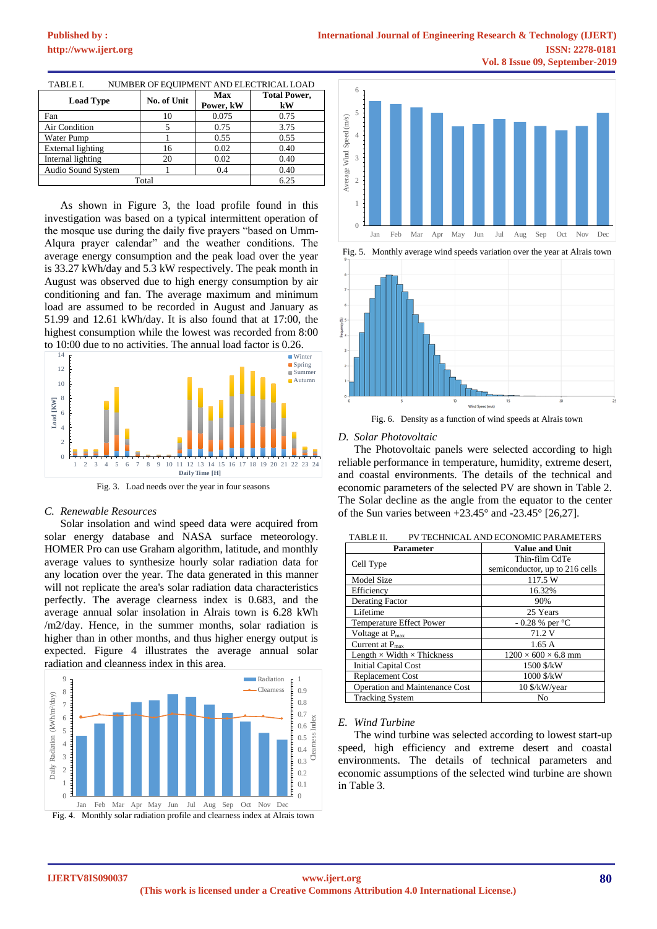### **[Published by :](www.ijert.org)**

| <b>Load Type</b>   | No. of Unit | Max<br>Power, kW | <b>Total Power,</b><br>kW |  |
|--------------------|-------------|------------------|---------------------------|--|
| Fan                | 10          | 0.075            | 0.75                      |  |
| Air Condition      |             | 0.75             | 3.75                      |  |
| Water Pump         |             | 0.55             | 0.55                      |  |
| External lighting  | 16          | 0.02             | 0.40                      |  |
| Internal lighting  | 20          | 0.02             | 0.40                      |  |
| Audio Sound System |             | 0.4              | 0.40                      |  |
| Total              | 6.25        |                  |                           |  |

TABLE I. NUMBER OF EQUIPMENT AND ELECTRICAL LOAD

As shown in Figure 3, the load profile found in this investigation was based on a typical intermittent operation of the mosque use during the daily five prayers "based on Umm-Alqura prayer calendar" and the weather conditions. The average energy consumption and the peak load over the year is 33.27 kWh/day and 5.3 kW respectively. The peak month in August was observed due to high energy consumption by air conditioning and fan. The average maximum and minimum load are assumed to be recorded in August and January as 51.99 and 12.61 kWh/day. It is also found that at 17:00, the highest consumption while the lowest was recorded from 8:00 to 10:00 due to no activities. The annual load factor is 0.26.



Fig. 3. Load needs over the year in four seasons

#### *C. Renewable Resources*

Solar insolation and wind speed data were acquired from solar energy database and NASA surface meteorology. HOMER Pro can use Graham algorithm, latitude, and monthly average values to synthesize hourly solar radiation data for any location over the year. The data generated in this manner will not replicate the area's solar radiation data characteristics perfectly. The average clearness index is 0.683, and the average annual solar insolation in Alrais town is 6.28 kWh /m2/day. Hence, in the summer months, solar radiation is higher than in other months, and thus higher energy output is expected. Figure 4 illustrates the average annual solar radiation and cleanness index in this area.



Fig. 4. Monthly solar radiation profile and clearness index at Alrais town



Fig. 5. Monthly average wind speeds variation over the year at Alrais town



Fig. 6. Density as a function of wind speeds at Alrais town

#### *D. Solar Photovoltaic*

The Photovoltaic panels were selected according to high reliable performance in temperature, humidity, extreme desert, and coastal environments. The details of the technical and economic parameters of the selected PV are shown in Table 2. The Solar decline as the angle from the equator to the center of the Sun varies between  $+23.45^{\circ}$  and  $-23.45^{\circ}$  [26,27].

| <b>Parameter</b>                         | <b>Value and Unit</b>           |  |  |  |
|------------------------------------------|---------------------------------|--|--|--|
| Cell Type                                | Thin-film CdTe                  |  |  |  |
|                                          | semiconductor, up to 216 cells  |  |  |  |
| Model Size                               | 117.5 W                         |  |  |  |
| Efficiency                               | 16.32%                          |  |  |  |
| <b>Derating Factor</b>                   | 90%                             |  |  |  |
| Lifetime                                 | 25 Years                        |  |  |  |
| <b>Temperature Effect Power</b>          | $-0.28$ % per $^{\circ}$ C      |  |  |  |
| Voltage at $P_{\text{max}}$              | 71.2 V                          |  |  |  |
| Current at $P_{max}$                     | 1.65A                           |  |  |  |
| Length $\times$ Width $\times$ Thickness | $1200 \times 600 \times 6.8$ mm |  |  |  |
| Initial Capital Cost                     | 1500 \$/kW                      |  |  |  |
| <b>Replacement Cost</b>                  | 1000 \$/kW                      |  |  |  |
| Operation and Maintenance Cost           | 10 \$/kW/year                   |  |  |  |
| <b>Tracking System</b>                   | No                              |  |  |  |

TABLE II. PV TECHNICAL AND ECONOMIC PARAMETERS

#### *E. Wind Turbine*

The wind turbine was selected according to lowest start-up speed, high efficiency and extreme desert and coastal environments. The details of technical parameters and economic assumptions of the selected wind turbine are shown in Table 3.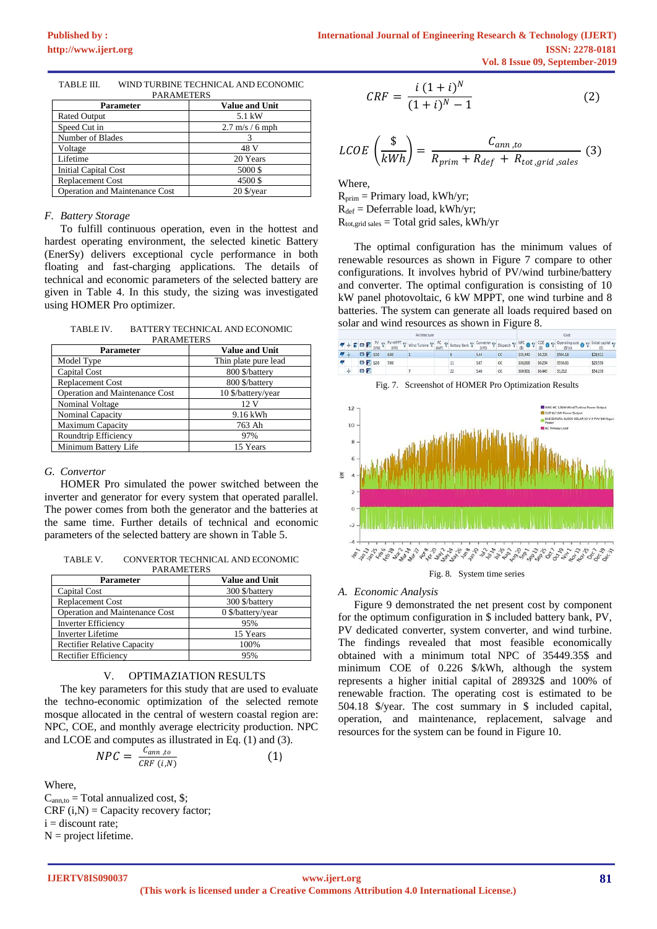| <b>FANAMEIENJ</b>                     |                           |  |  |
|---------------------------------------|---------------------------|--|--|
| Parameter                             | <b>Value and Unit</b>     |  |  |
| <b>Rated Output</b>                   | 5.1 kW                    |  |  |
| Speed Cut in                          | $2.7 \text{ m/s}$ / 6 mph |  |  |
| Number of Blades                      |                           |  |  |
| Voltage                               | 48 V                      |  |  |
| Lifetime                              | 20 Years                  |  |  |
| <b>Initial Capital Cost</b>           | 5000\$                    |  |  |
| <b>Replacement Cost</b>               | 4500\$                    |  |  |
| <b>Operation and Maintenance Cost</b> | $20$ \$/vear              |  |  |

| TABLE III. | WIND TURBINE TECHNICAL AND ECONOMIC |
|------------|-------------------------------------|
|            | <b>DAD AMETEDS</b>                  |

#### *F. Battery Storage*

To fulfill continuous operation, even in the hottest and hardest operating environment, the selected kinetic Battery (EnerSy) delivers exceptional cycle performance in both floating and fast-charging applications. The details of technical and economic parameters of the selected battery are given in Table 4. In this study, the sizing was investigated using HOMER Pro optimizer.

TABLE IV. BATTERY TECHNICAL AND ECONOMIC **DAD AMETEDS** 

| <b>Parameter</b>                      | 1 ANAWIL LEND<br><b>Value and Unit</b> |  |  |
|---------------------------------------|----------------------------------------|--|--|
| Model Type                            | Thin plate pure lead                   |  |  |
| Capital Cost                          | 800 \$/battery                         |  |  |
| <b>Replacement Cost</b>               | 800 \$/battery                         |  |  |
| <b>Operation and Maintenance Cost</b> | 10 \$/battery/year                     |  |  |
| Nominal Voltage                       | 12V                                    |  |  |
| Nominal Capacity                      | 9.16 kWh                               |  |  |
| <b>Maximum Capacity</b>               | 763 Ah                                 |  |  |
| Roundtrip Efficiency                  | 97%                                    |  |  |
| Minimum Battery Life                  | 15 Years                               |  |  |

#### *G. Convertor*

HOMER Pro simulated the power switched between the inverter and generator for every system that operated parallel. The power comes from both the generator and the batteries at the same time. Further details of technical and economic parameters of the selected battery are shown in Table 5.

TABLE V. CONVERTOR TECHNICAL AND ECONOMIC PARAMETERS

| <b>Parameter</b>                      | <b>Value and Unit</b> |  |  |
|---------------------------------------|-----------------------|--|--|
| Capital Cost                          | 300 \$/battery        |  |  |
| <b>Replacement Cost</b>               | 300 \$/battery        |  |  |
| <b>Operation and Maintenance Cost</b> | $0$ \$/battery/year   |  |  |
| <b>Inverter Efficiency</b>            | 95%                   |  |  |
| <b>Inverter Lifetime</b>              | 15 Years              |  |  |
| <b>Rectifier Relative Capacity</b>    | 100%                  |  |  |
| Rectifier Efficiency                  | 95%                   |  |  |

#### V. OPTIMAZIATION RESULTS

The key parameters for this study that are used to evaluate the techno-economic optimization of the selected remote mosque allocated in the central of western coastal region are: NPC, COE, and monthly average electricity production. NPC and LCOE and computes as illustrated in Eq. (1) and (3).

$$
NPC = \frac{C_{ann,to}}{CRF(i,N)} \tag{1}
$$

Where,

 $C_{\text{ann},\text{to}}$  = Total annualized cost, \$;  $CRF(i,N) = Capacity recovery factor;$  $i =$  discount rate;  $N =$  project lifetime.

$$
CRF = \frac{i (1+i)^N}{(1+i)^N - 1}
$$
 (2)

$$
LCOE\left(\frac{\$}{kWh}\right) = \frac{C_{ann, to}}{R_{prim} + R_{def} + R_{tot, grid, sales}}(3)
$$

Where,

 $R_{\text{prim}} =$  Primary load, kWh/yr;  $R_{def} =$  Deferrable load, kWh/yr;  $R_{\text{tot,grid sales}} = \text{Total grid sales}, \text{kWh/yr}$ 

The optimal configuration has the minimum values of renewable resources as shown in Figure 7 compare to other configurations. It involves hybrid of PV/wind turbine/battery and converter. The optimal configuration is consisting of 10 kW panel photovoltaic, 6 kW MPPT, one wind turbine and 8 batteries. The system can generate all loads required based on solar and wind resources as shown in Figure 8.



#### *A. Economic Analysis*

Figure 9 demonstrated the net present cost by component for the optimum configuration in \$ included battery bank, PV, PV dedicated converter, system converter, and wind turbine. The findings revealed that most feasible economically obtained with a minimum total NPC of 35449.35\$ and minimum COE of 0.226 \$/kWh, although the system represents a higher initial capital of 28932\$ and 100% of renewable fraction. The operating cost is estimated to be 504.18 \$/year. The cost summary in \$ included capital, operation, and maintenance, replacement, salvage and resources for the system can be found in Figure 10.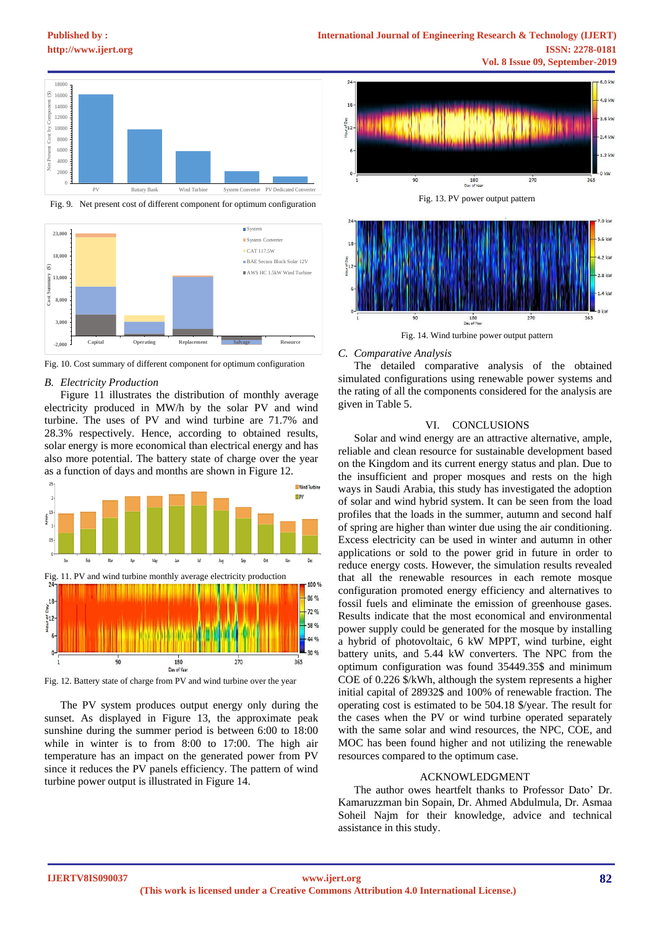## **[Published by :](www.ijert.org)**



Fig. 9. Net present cost of different component for optimum configuration



Fig. 10. Cost summary of different component for optimum configuration

#### *B. Electricity Production*

Figure 11 illustrates the distribution of monthly average electricity produced in MW/h by the solar PV and wind turbine. The uses of PV and wind turbine are 71.7% and 28.3% respectively. Hence, according to obtained results, solar energy is more economical than electrical energy and has also more potential. The battery state of charge over the year as a function of days and months are shown in Figure 12.



Fig. 12. Battery state of charge from PV and wind turbine over the year

The PV system produces output energy only during the sunset. As displayed in Figure 13, the approximate peak sunshine during the summer period is between 6:00 to 18:00 while in winter is to from 8:00 to 17:00. The high air temperature has an impact on the generated power from PV since it reduces the PV panels efficiency. The pattern of wind turbine power output is illustrated in Figure 14.



#### *C. Comparative Analysis*

The detailed comparative analysis of the obtained simulated configurations using renewable power systems and the rating of all the components considered for the analysis are given in Table 5.

#### VI. CONCLUSIONS

Solar and wind energy are an attractive alternative, ample, reliable and clean resource for sustainable development based on the Kingdom and its current energy status and plan. Due to the insufficient and proper mosques and rests on the high ways in Saudi Arabia, this study has investigated the adoption of solar and wind hybrid system. It can be seen from the load profiles that the loads in the summer, autumn and second half of spring are higher than winter due using the air conditioning. Excess electricity can be used in winter and autumn in other applications or sold to the power grid in future in order to reduce energy costs. However, the simulation results revealed that all the renewable resources in each remote mosque configuration promoted energy efficiency and alternatives to fossil fuels and eliminate the emission of greenhouse gases. Results indicate that the most economical and environmental power supply could be generated for the mosque by installing a hybrid of photovoltaic, 6 kW MPPT, wind turbine, eight battery units, and 5.44 kW converters. The NPC from the optimum configuration was found 35449.35\$ and minimum COE of 0.226 \$/kWh, although the system represents a higher initial capital of 28932\$ and 100% of renewable fraction. The operating cost is estimated to be 504.18 \$/year. The result for the cases when the PV or wind turbine operated separately with the same solar and wind resources, the NPC, COE, and MOC has been found higher and not utilizing the renewable resources compared to the optimum case.

#### ACKNOWLEDGMENT

The author owes heartfelt thanks to Professor Dato' Dr. Kamaruzzman bin Sopain, Dr. Ahmed Abdulmula, Dr. Asmaa Soheil Najm for their knowledge, advice and technical assistance in this study.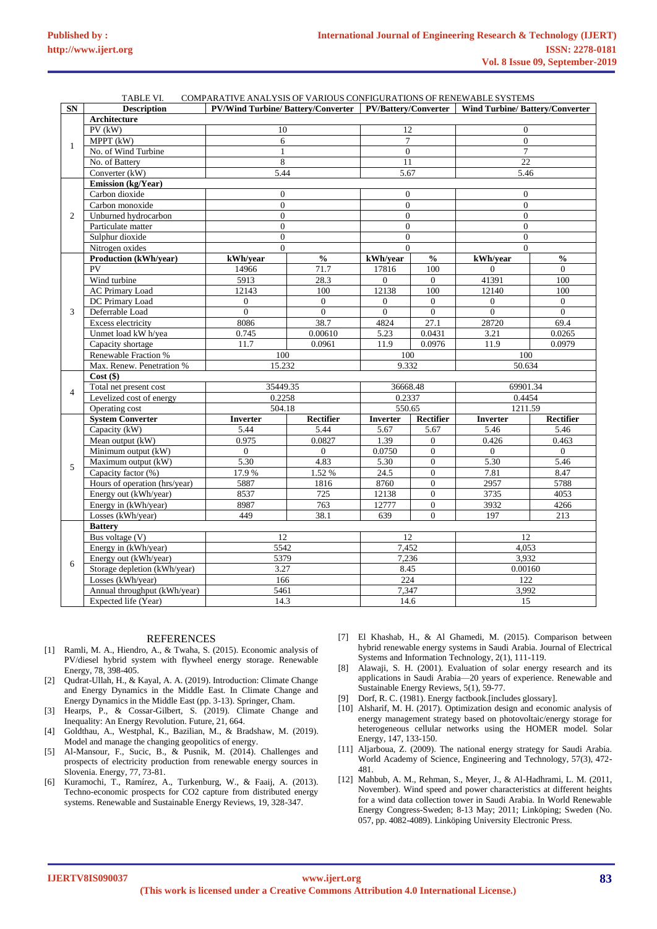|                | COMPARATIVE ANALYSIS OF VARIOUS CONFIGURATIONS OF RENEWABLE SYSTEMS<br>TABLE VI. |                                                                   |                  |                  |                                    |                                       |                  |
|----------------|----------------------------------------------------------------------------------|-------------------------------------------------------------------|------------------|------------------|------------------------------------|---------------------------------------|------------------|
| <b>SN</b>      | <b>Description</b>                                                               | <b>PV/Wind Turbine/Battery/Converter   PV/Battery/Converter  </b> |                  |                  |                                    | <b>Wind Turbine/Battery/Converter</b> |                  |
|                | Architecture                                                                     |                                                                   |                  |                  |                                    |                                       |                  |
| $\mathbf{1}$   | $PV$ ( $kW$ )                                                                    | 10                                                                |                  | 12               |                                    | $\mathbf{0}$                          |                  |
|                | MPPT $(k\overline{W})$                                                           | 6                                                                 |                  | $\overline{7}$   |                                    | $\overline{0}$                        |                  |
|                | No. of Wind Turbine                                                              | $\mathbf{1}$                                                      |                  | $\mathbf{0}$     |                                    | $\overline{7}$                        |                  |
|                | No. of Battery                                                                   | 8                                                                 |                  | 11               |                                    | 22                                    |                  |
|                | Converter (kW)                                                                   | 5.44                                                              |                  | 5.67             |                                    | 5.46                                  |                  |
|                | <b>Emission</b> (kg/Year)                                                        |                                                                   |                  |                  |                                    |                                       |                  |
|                | $\mathbf{0}$<br>Carbon dioxide                                                   |                                                                   |                  | $\mathbf{0}$     |                                    | $\Omega$                              |                  |
|                | Carbon monoxide                                                                  | $\overline{0}$                                                    |                  | $\boldsymbol{0}$ |                                    | $\overline{0}$                        |                  |
| 2              | Unburned hydrocarbon                                                             | $\overline{0}$                                                    |                  | $\mathbf{0}$     |                                    | $\overline{0}$                        |                  |
|                | Particulate matter                                                               |                                                                   |                  |                  |                                    |                                       |                  |
|                | Sulphur dioxide                                                                  | $\mathbf{0}$                                                      |                  | $\mathbf{0}$     |                                    | $\overline{0}$                        |                  |
|                |                                                                                  | $\Omega$                                                          |                  | $\Omega$         |                                    | $\Omega$                              |                  |
|                | Nitrogen oxides                                                                  | $\Omega$                                                          |                  | $\theta$         |                                    | $\Omega$                              |                  |
|                | Production (kWh/year)                                                            | kWh/year                                                          | $\frac{0}{0}$    | kWh/year         | $\mathbf{0}_{\mathbf{0}}^{\prime}$ | kWh/vear                              | $\frac{0}{0}$    |
|                | PV                                                                               | 14966                                                             | 71.7             | 17816            | 100                                | $\overline{0}$                        | $\mathbf{0}$     |
|                | Wind turbine                                                                     | 5913                                                              | 28.3             | $\mathbf{0}$     | $\overline{0}$                     | 41391                                 | 100              |
|                | <b>AC Primary Load</b>                                                           | 12143                                                             | 100              | 12138            | 100                                | 12140                                 | 100              |
|                | DC Primary Load                                                                  | $\Omega$                                                          | $\mathbf{0}$     | $\mathbf{0}$     | $\mathbf{0}$                       | $\mathbf{0}$                          | $\mathbf{0}$     |
| 3              | Deferrable Load                                                                  | $\Omega$                                                          | $\Omega$         | $\Omega$         | $\theta$                           | $\theta$                              | $\overline{0}$   |
|                | Excess electricity                                                               | 8086                                                              | 38.7             | 4824             | 27.1                               | 28720                                 | 69.4             |
|                | Unmet load kW h/yea                                                              | 0.745                                                             | 0.00610          | 5.23             | 0.0431                             | 3.21                                  | 0.0265           |
|                | Capacity shortage                                                                | 11.7                                                              | 0.0961           | 11.9             | 0.0976                             | 11.9                                  | 0.0979           |
|                | Renewable Fraction %                                                             | 100                                                               |                  | 100              |                                    | 100                                   |                  |
|                | Max. Renew. Penetration %                                                        | 15.232                                                            |                  | 9.332            |                                    | 50.634                                |                  |
|                | $Cost($ \$)                                                                      |                                                                   |                  |                  |                                    |                                       |                  |
|                | Total net present cost                                                           | 35449.35                                                          |                  | 36668.48         |                                    | 69901.34                              |                  |
| $\overline{4}$ | Levelized cost of energy                                                         | 0.2258                                                            |                  | 0.2337           |                                    | 0.4454                                |                  |
|                | Operating cost                                                                   | 504.18                                                            |                  | 550.65           |                                    | 1211.59                               |                  |
|                | <b>System Converter</b>                                                          | <b>Inverter</b>                                                   | <b>Rectifier</b> | <b>Inverter</b>  | Rectifier                          | <b>Inverter</b>                       | <b>Rectifier</b> |
|                | Capacity (kW)                                                                    | 5.44                                                              | 5.44             | 5.67             | 5.67                               | 5.46                                  | 5.46             |
|                | Mean output (kW)                                                                 | 0.975                                                             | 0.0827           | 1.39             | $\Omega$                           | 0.426                                 | 0.463            |
|                | Minimum output (kW)                                                              | $\Omega$                                                          | $\overline{0}$   | 0.0750           | $\mathbf{0}$                       | $\overline{0}$                        | $\mathbf{0}$     |
|                | Maximum output (kW)                                                              | 5.30                                                              | 4.83             | 5.30             | $\overline{0}$                     | 5.30                                  | 5.46             |
| 5              | Capacity factor (%)                                                              | 17.9%                                                             | 1.52%            | 24.5             | $\overline{0}$                     | 7.81                                  | 8.47             |
|                | Hours of operation (hrs/year)                                                    | 5887                                                              | 1816             | 8760             | $\overline{0}$                     | 2957                                  | 5788             |
|                | Energy out (kWh/year)                                                            | 8537                                                              | 725              | 12138            | $\overline{0}$                     | 3735                                  | 4053             |
|                | Energy in (kWh/year)                                                             | 8987                                                              | 763              | 12777            | $\boldsymbol{0}$                   | 3932                                  | 4266             |
|                | Losses (kWh/year)                                                                | 449                                                               | 38.1             | 639              | $\overline{0}$                     | 197                                   | 213              |
|                | <b>Battery</b>                                                                   |                                                                   |                  |                  |                                    |                                       |                  |
|                | Bus voltage (V)                                                                  | 12                                                                |                  | 12               |                                    | 12                                    |                  |
|                | Energy in (kWh/year)                                                             | 5542                                                              |                  | 7,452            |                                    | 4.053                                 |                  |
| 6              |                                                                                  |                                                                   |                  |                  |                                    | 3,932                                 |                  |
|                | Energy out (kWh/year)                                                            | 5379                                                              |                  | 7,236            |                                    |                                       |                  |
|                | Storage depletion (kWh/year)                                                     | 3.27                                                              |                  | 8.45             |                                    | 0.00160                               |                  |
|                | Losses (kWh/year)                                                                | 166                                                               |                  | 224              |                                    | 122                                   |                  |
|                | Annual throughput (kWh/year)                                                     | 5461                                                              |                  | 7,347            |                                    | 3,992                                 |                  |
|                | Expected life (Year)                                                             | 14.3                                                              |                  | 14.6             |                                    | 15                                    |                  |

### **REFERENCES**

- [1] Ramli, M. A., Hiendro, A., & Twaha, S. (2015). Economic analysis of PV/diesel hybrid system with flywheel energy storage. Renewable Energy, 78, 398-405.
- [2] Qudrat-Ullah, H., & Kayal, A. A. (2019). Introduction: Climate Change and Energy Dynamics in the Middle East. In Climate Change and Energy Dynamics in the Middle East (pp. 3-13). Springer, Cham.
- [3] Hearps, P., & Cossar-Gilbert, S. (2019). Climate Change and Inequality: An Energy Revolution. Future, 21, 664.
- [4] Goldthau, A., Westphal, K., Bazilian, M., & Bradshaw, M. (2019). Model and manage the changing geopolitics of energy.
- [5] Al-Mansour, F., Sucic, B., & Pusnik, M. (2014). Challenges and prospects of electricity production from renewable energy sources in Slovenia. Energy, 77, 73-81.
- [6] Kuramochi, T., Ramírez, A., Turkenburg, W., & Faaij, A. (2013). Techno-economic prospects for CO2 capture from distributed energy systems. Renewable and Sustainable Energy Reviews, 19, 328-347.
- [7] El Khashab, H., & Al Ghamedi, M. (2015). Comparison between hybrid renewable energy systems in Saudi Arabia. Journal of Electrical Systems and Information Technology, 2(1), 111-119.
- [8] Alawaji, S. H. (2001). Evaluation of solar energy research and its applications in Saudi Arabia—20 years of experience. Renewable and Sustainable Energy Reviews, 5(1), 59-77.
- [9] Dorf, R. C. (1981). Energy factbook.[includes glossary].
- [10] Alsharif, M. H. (2017). Optimization design and economic analysis of energy management strategy based on photovoltaic/energy storage for heterogeneous cellular networks using the HOMER model. Solar Energy, 147, 133-150.
- [11] Aljarboua, Z. (2009). The national energy strategy for Saudi Arabia. World Academy of Science, Engineering and Technology, 57(3), 472- 481.
- [12] Mahbub, A. M., Rehman, S., Meyer, J., & Al-Hadhrami, L. M. (2011, November). Wind speed and power characteristics at different heights for a wind data collection tower in Saudi Arabia. In World Renewable Energy Congress-Sweden; 8-13 May; 2011; Linköping; Sweden (No. 057, pp. 4082-4089). Linköping University Electronic Press.